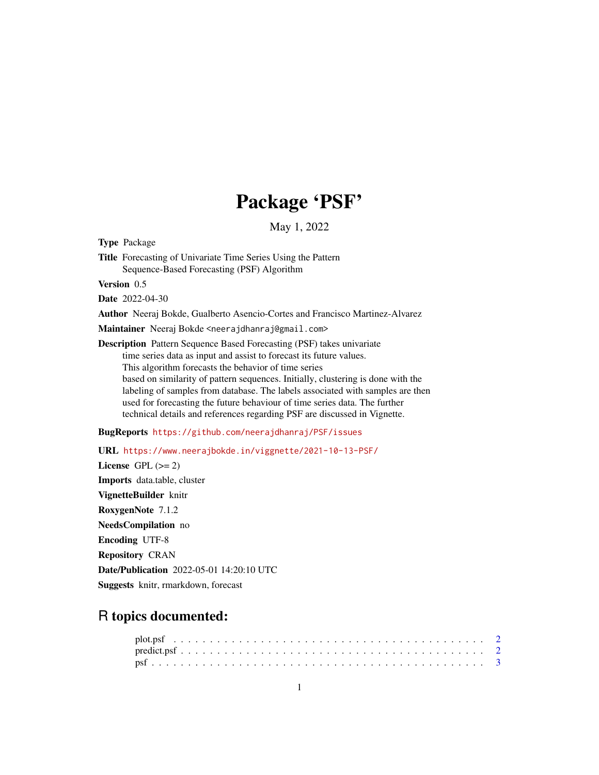## Package 'PSF'

May 1, 2022

Type Package

Title Forecasting of Univariate Time Series Using the Pattern Sequence-Based Forecasting (PSF) Algorithm

Version 0.5

Date 2022-04-30

Author Neeraj Bokde, Gualberto Asencio-Cortes and Francisco Martinez-Alvarez

Maintainer Neeraj Bokde <neerajdhanraj@gmail.com>

Description Pattern Sequence Based Forecasting (PSF) takes univariate time series data as input and assist to forecast its future values. This algorithm forecasts the behavior of time series based on similarity of pattern sequences. Initially, clustering is done with the labeling of samples from database. The labels associated with samples are then used for forecasting the future behaviour of time series data. The further technical details and references regarding PSF are discussed in Vignette.

BugReports <https://github.com/neerajdhanraj/PSF/issues>

URL <https://www.neerajbokde.in/viggnette/2021-10-13-PSF/>

License GPL  $(>= 2)$ Imports data.table, cluster VignetteBuilder knitr RoxygenNote 7.1.2 NeedsCompilation no Encoding UTF-8 Repository CRAN Date/Publication 2022-05-01 14:20:10 UTC Suggests knitr, rmarkdown, forecast

### R topics documented: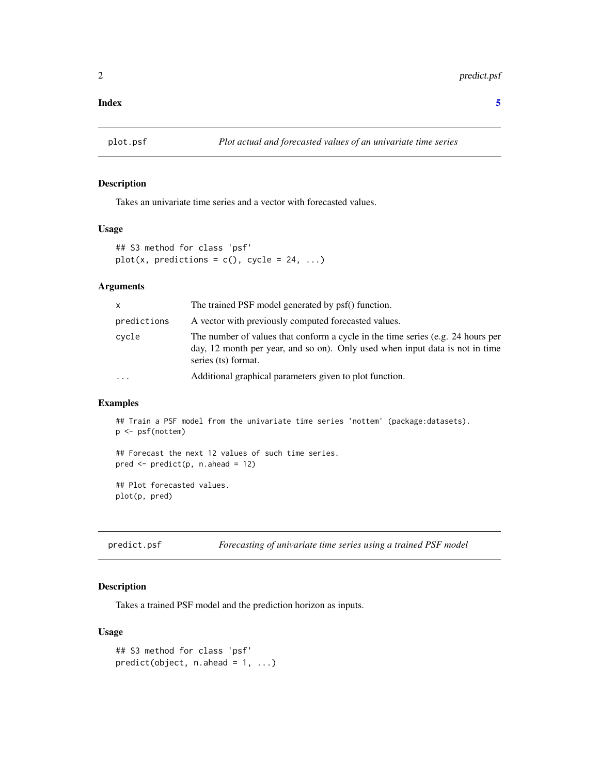#### <span id="page-1-0"></span>**Index** [5](#page-4-0). The second state of the second state of the second state of the second state of the second state of the second state of the second state of the second state of the second state of the second state of the second

#### Description

Takes an univariate time series and a vector with forecasted values.

#### Usage

```
## S3 method for class 'psf'
plot(x, predictions = c(), cycle = 24, ...)
```
#### Arguments

| X           | The trained PSF model generated by psf() function.                                                                                                                                     |
|-------------|----------------------------------------------------------------------------------------------------------------------------------------------------------------------------------------|
| predictions | A vector with previously computed forecasted values.                                                                                                                                   |
| cycle       | The number of values that conform a cycle in the time series (e.g. 24 hours per<br>day, 12 month per year, and so on). Only used when input data is not in time<br>series (ts) format. |
| $\cdots$    | Additional graphical parameters given to plot function.                                                                                                                                |

#### Examples

```
## Train a PSF model from the univariate time series 'nottem' (package:datasets).
p <- psf(nottem)
## Forecast the next 12 values of such time series.
pred \leq predict(p, n.ahead = 12)
## Plot forecasted values.
plot(p, pred)
```
predict.psf *Forecasting of univariate time series using a trained PSF model*

#### Description

Takes a trained PSF model and the prediction horizon as inputs.

#### Usage

```
## S3 method for class 'psf'
predict(object, n. ahead = 1, ...)
```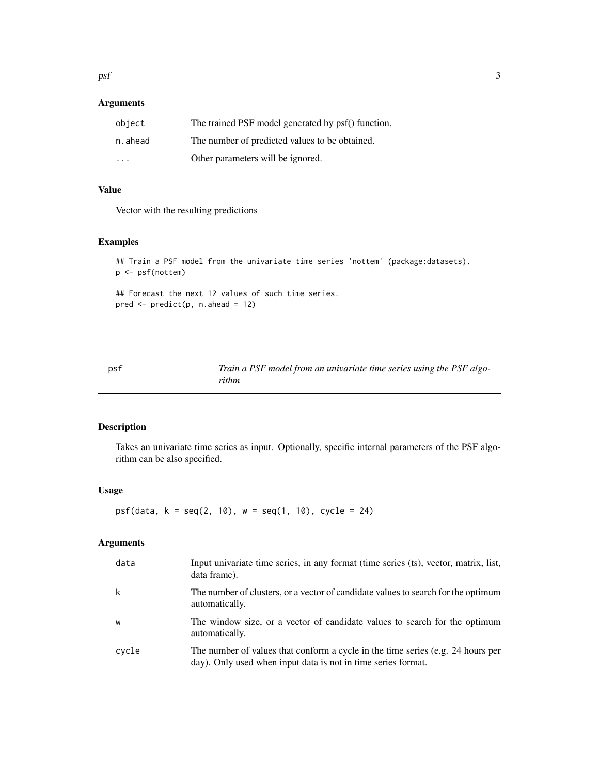<span id="page-2-0"></span> $psf$  3

#### Arguments

| object                  | The trained PSF model generated by psf() function. |
|-------------------------|----------------------------------------------------|
| n.ahead                 | The number of predicted values to be obtained.     |
| $\cdot$ $\cdot$ $\cdot$ | Other parameters will be ignored.                  |

#### Value

Vector with the resulting predictions

#### Examples

```
## Train a PSF model from the univariate time series 'nottem' (package:datasets).
p <- psf(nottem)
```
## Forecast the next 12 values of such time series. pred <- predict(p, n.ahead = 12)

psf *Train a PSF model from an univariate time series using the PSF algorithm*

#### Description

Takes an univariate time series as input. Optionally, specific internal parameters of the PSF algorithm can be also specified.

#### Usage

 $psf(data, k = seq(2, 10), w = seq(1, 10), cycle = 24)$ 

#### Arguments

| data  | Input univariate time series, in any format (time series (ts), vector, matrix, list,<br>data frame).                                             |
|-------|--------------------------------------------------------------------------------------------------------------------------------------------------|
| k     | The number of clusters, or a vector of candidate values to search for the optimum<br>automatically.                                              |
| W     | The window size, or a vector of candidate values to search for the optimum<br>automatically.                                                     |
| cvcle | The number of values that conform a cycle in the time series (e.g. 24 hours per<br>day). Only used when input data is not in time series format. |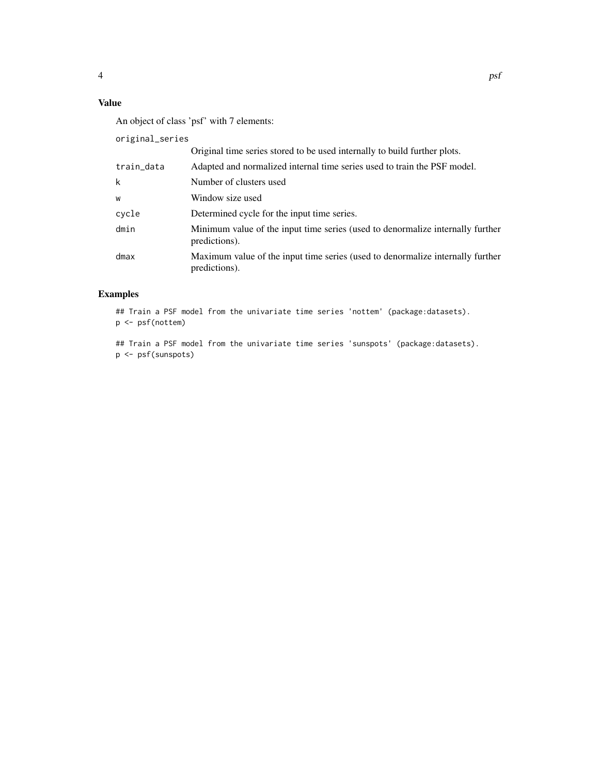#### Value

An object of class 'psf' with 7 elements:

original\_series

|            | Original time series stored to be used internally to build further plots.                       |
|------------|-------------------------------------------------------------------------------------------------|
| train_data | Adapted and normalized internal time series used to train the PSF model.                        |
| k          | Number of clusters used                                                                         |
| W          | Window size used                                                                                |
| cycle      | Determined cycle for the input time series.                                                     |
| dmin       | Minimum value of the input time series (used to denormalize internally further<br>predictions). |
| dmax       | Maximum value of the input time series (used to denormalize internally further<br>predictions). |

#### Examples

## Train a PSF model from the univariate time series 'nottem' (package:datasets). p <- psf(nottem)

## Train a PSF model from the univariate time series 'sunspots' (package:datasets). p <- psf(sunspots)